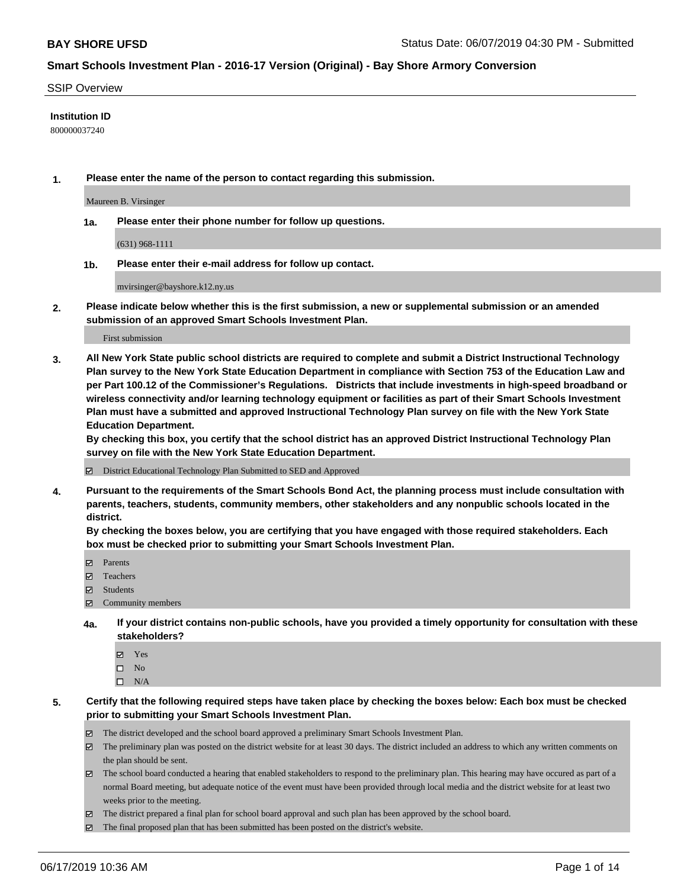### SSIP Overview

## **Institution ID**

800000037240

**1. Please enter the name of the person to contact regarding this submission.**

Maureen B. Virsinger

**1a. Please enter their phone number for follow up questions.**

(631) 968-1111

**1b. Please enter their e-mail address for follow up contact.**

mvirsinger@bayshore.k12.ny.us

**2. Please indicate below whether this is the first submission, a new or supplemental submission or an amended submission of an approved Smart Schools Investment Plan.**

First submission

**3. All New York State public school districts are required to complete and submit a District Instructional Technology Plan survey to the New York State Education Department in compliance with Section 753 of the Education Law and per Part 100.12 of the Commissioner's Regulations. Districts that include investments in high-speed broadband or wireless connectivity and/or learning technology equipment or facilities as part of their Smart Schools Investment Plan must have a submitted and approved Instructional Technology Plan survey on file with the New York State Education Department.** 

**By checking this box, you certify that the school district has an approved District Instructional Technology Plan survey on file with the New York State Education Department.**

District Educational Technology Plan Submitted to SED and Approved

**4. Pursuant to the requirements of the Smart Schools Bond Act, the planning process must include consultation with parents, teachers, students, community members, other stakeholders and any nonpublic schools located in the district.** 

**By checking the boxes below, you are certifying that you have engaged with those required stakeholders. Each box must be checked prior to submitting your Smart Schools Investment Plan.**

- Parents
- Teachers
- Students
- Community members
- **4a. If your district contains non-public schools, have you provided a timely opportunity for consultation with these stakeholders?**
	- Yes
	- $\square$  No
	- $\square$  N/A
- **5. Certify that the following required steps have taken place by checking the boxes below: Each box must be checked prior to submitting your Smart Schools Investment Plan.**
	- The district developed and the school board approved a preliminary Smart Schools Investment Plan.
	- $\boxtimes$  The preliminary plan was posted on the district website for at least 30 days. The district included an address to which any written comments on the plan should be sent.
	- $\boxtimes$  The school board conducted a hearing that enabled stakeholders to respond to the preliminary plan. This hearing may have occured as part of a normal Board meeting, but adequate notice of the event must have been provided through local media and the district website for at least two weeks prior to the meeting.
	- The district prepared a final plan for school board approval and such plan has been approved by the school board.
	- $\boxtimes$  The final proposed plan that has been submitted has been posted on the district's website.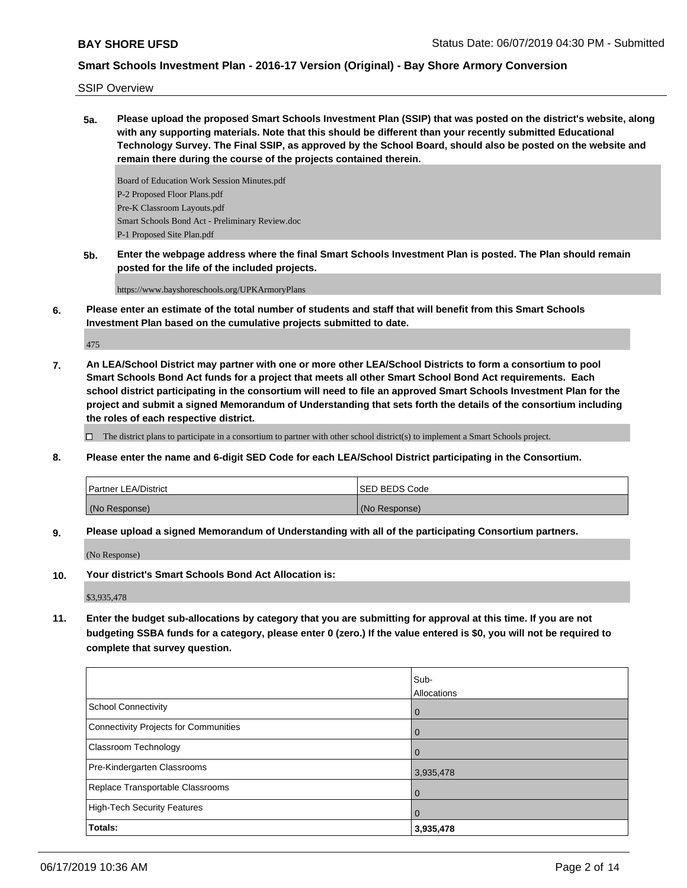SSIP Overview

**5a. Please upload the proposed Smart Schools Investment Plan (SSIP) that was posted on the district's website, along with any supporting materials. Note that this should be different than your recently submitted Educational Technology Survey. The Final SSIP, as approved by the School Board, should also be posted on the website and remain there during the course of the projects contained therein.**

Board of Education Work Session Minutes.pdf P-2 Proposed Floor Plans.pdf Pre-K Classroom Layouts.pdf Smart Schools Bond Act - Preliminary Review.doc P-1 Proposed Site Plan.pdf

**5b. Enter the webpage address where the final Smart Schools Investment Plan is posted. The Plan should remain posted for the life of the included projects.**

https://www.bayshoreschools.org/UPKArmoryPlans

**6. Please enter an estimate of the total number of students and staff that will benefit from this Smart Schools Investment Plan based on the cumulative projects submitted to date.**

475

**7. An LEA/School District may partner with one or more other LEA/School Districts to form a consortium to pool Smart Schools Bond Act funds for a project that meets all other Smart School Bond Act requirements. Each school district participating in the consortium will need to file an approved Smart Schools Investment Plan for the project and submit a signed Memorandum of Understanding that sets forth the details of the consortium including the roles of each respective district.**

 $\Box$  The district plans to participate in a consortium to partner with other school district(s) to implement a Smart Schools project.

**8. Please enter the name and 6-digit SED Code for each LEA/School District participating in the Consortium.**

| <b>Partner LEA/District</b> | <b>ISED BEDS Code</b> |
|-----------------------------|-----------------------|
| (No Response)               | (No Response)         |

**9. Please upload a signed Memorandum of Understanding with all of the participating Consortium partners.**

(No Response)

**10. Your district's Smart Schools Bond Act Allocation is:**

\$3,935,478

**11. Enter the budget sub-allocations by category that you are submitting for approval at this time. If you are not budgeting SSBA funds for a category, please enter 0 (zero.) If the value entered is \$0, you will not be required to complete that survey question.**

|                                       | lSub-              |
|---------------------------------------|--------------------|
|                                       | <b>Allocations</b> |
| <b>School Connectivity</b>            | $\overline{0}$     |
| Connectivity Projects for Communities | $\overline{0}$     |
| <b>Classroom Technology</b>           | $\Omega$           |
| Pre-Kindergarten Classrooms           | 3,935,478          |
| Replace Transportable Classrooms      | $\Omega$           |
| High-Tech Security Features           | $\overline{0}$     |
| Totals:                               | 3,935,478          |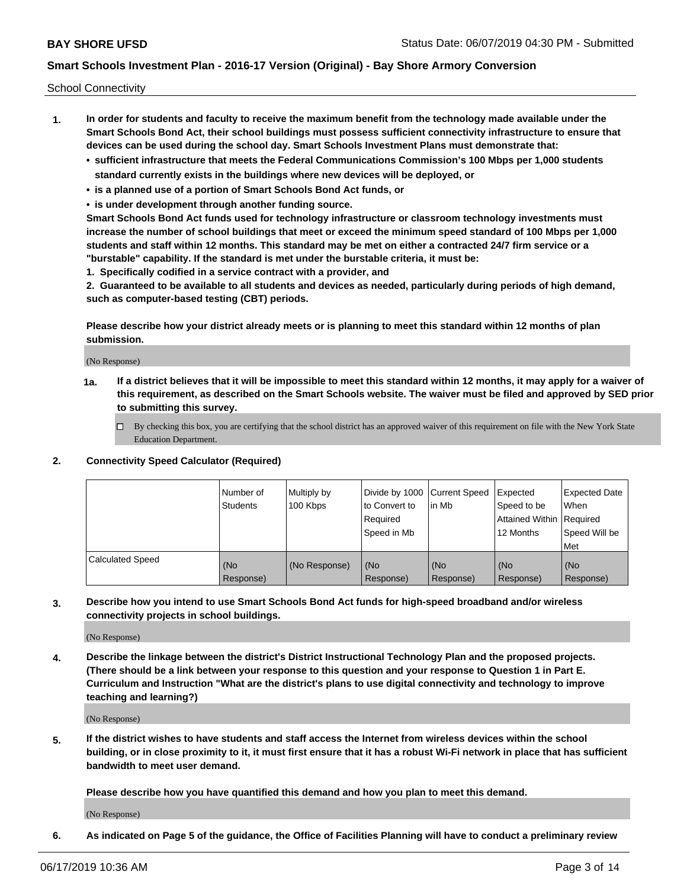School Connectivity

- **1. In order for students and faculty to receive the maximum benefit from the technology made available under the Smart Schools Bond Act, their school buildings must possess sufficient connectivity infrastructure to ensure that devices can be used during the school day. Smart Schools Investment Plans must demonstrate that:**
	- **• sufficient infrastructure that meets the Federal Communications Commission's 100 Mbps per 1,000 students standard currently exists in the buildings where new devices will be deployed, or**
	- **• is a planned use of a portion of Smart Schools Bond Act funds, or**
	- **• is under development through another funding source.**

**Smart Schools Bond Act funds used for technology infrastructure or classroom technology investments must increase the number of school buildings that meet or exceed the minimum speed standard of 100 Mbps per 1,000 students and staff within 12 months. This standard may be met on either a contracted 24/7 firm service or a "burstable" capability. If the standard is met under the burstable criteria, it must be:**

**1. Specifically codified in a service contract with a provider, and**

**2. Guaranteed to be available to all students and devices as needed, particularly during periods of high demand, such as computer-based testing (CBT) periods.**

**Please describe how your district already meets or is planning to meet this standard within 12 months of plan submission.**

(No Response)

**1a. If a district believes that it will be impossible to meet this standard within 12 months, it may apply for a waiver of this requirement, as described on the Smart Schools website. The waiver must be filed and approved by SED prior to submitting this survey.**

 $\Box$  By checking this box, you are certifying that the school district has an approved waiver of this requirement on file with the New York State Education Department.

#### **2. Connectivity Speed Calculator (Required)**

|                         | l Number of<br><b>Students</b> | Multiply by<br>100 Kbps | Divide by 1000 Current Speed<br>to Convert to<br>Required<br>l Speed in Mb | lin Mb           | Expected<br>Speed to be<br>Attained Within   Required<br>12 Months | <b>Expected Date</b><br>When<br>Speed Will be<br>Met |
|-------------------------|--------------------------------|-------------------------|----------------------------------------------------------------------------|------------------|--------------------------------------------------------------------|------------------------------------------------------|
| <b>Calculated Speed</b> | (No<br>Response)               | (No Response)           | (No<br>Response)                                                           | (No<br>Response) | (No<br>Response)                                                   | (No<br>Response)                                     |

**3. Describe how you intend to use Smart Schools Bond Act funds for high-speed broadband and/or wireless connectivity projects in school buildings.**

(No Response)

**4. Describe the linkage between the district's District Instructional Technology Plan and the proposed projects. (There should be a link between your response to this question and your response to Question 1 in Part E. Curriculum and Instruction "What are the district's plans to use digital connectivity and technology to improve teaching and learning?)**

(No Response)

**5. If the district wishes to have students and staff access the Internet from wireless devices within the school building, or in close proximity to it, it must first ensure that it has a robust Wi-Fi network in place that has sufficient bandwidth to meet user demand.**

**Please describe how you have quantified this demand and how you plan to meet this demand.**

(No Response)

**6. As indicated on Page 5 of the guidance, the Office of Facilities Planning will have to conduct a preliminary review**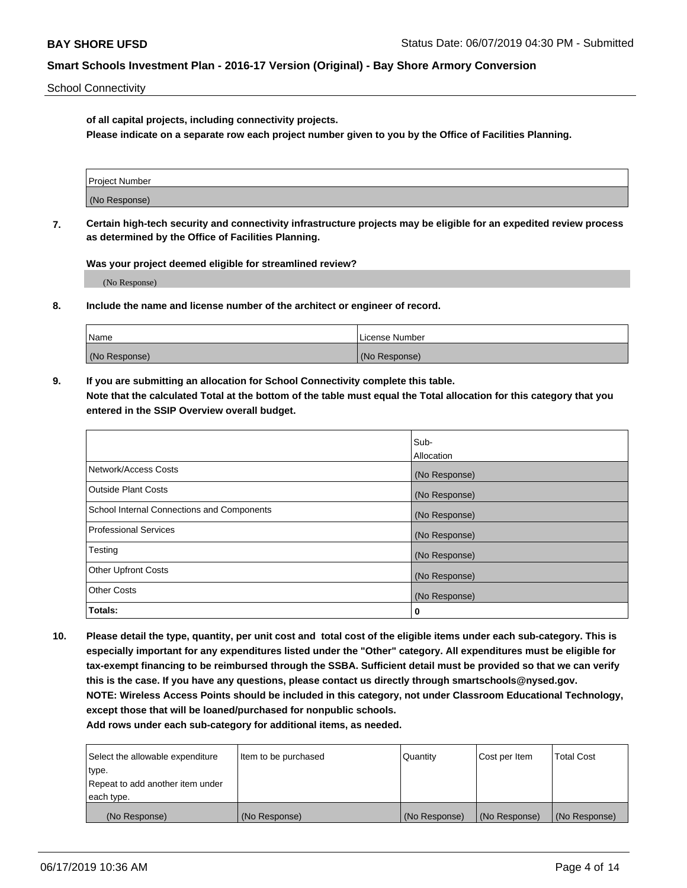School Connectivity

**of all capital projects, including connectivity projects.**

**Please indicate on a separate row each project number given to you by the Office of Facilities Planning.**

| Project Number |  |
|----------------|--|
|                |  |
|                |  |
| (No Response)  |  |
|                |  |

**7. Certain high-tech security and connectivity infrastructure projects may be eligible for an expedited review process as determined by the Office of Facilities Planning.**

**Was your project deemed eligible for streamlined review?**

(No Response)

**8. Include the name and license number of the architect or engineer of record.**

| Name          | License Number |
|---------------|----------------|
| (No Response) | (No Response)  |

**9. If you are submitting an allocation for School Connectivity complete this table. Note that the calculated Total at the bottom of the table must equal the Total allocation for this category that you entered in the SSIP Overview overall budget.** 

|                                            | Sub-          |
|--------------------------------------------|---------------|
|                                            | Allocation    |
| Network/Access Costs                       | (No Response) |
| <b>Outside Plant Costs</b>                 | (No Response) |
| School Internal Connections and Components | (No Response) |
| <b>Professional Services</b>               | (No Response) |
| Testing                                    | (No Response) |
| <b>Other Upfront Costs</b>                 | (No Response) |
| <b>Other Costs</b>                         | (No Response) |
| Totals:                                    | 0             |

**10. Please detail the type, quantity, per unit cost and total cost of the eligible items under each sub-category. This is especially important for any expenditures listed under the "Other" category. All expenditures must be eligible for tax-exempt financing to be reimbursed through the SSBA. Sufficient detail must be provided so that we can verify this is the case. If you have any questions, please contact us directly through smartschools@nysed.gov. NOTE: Wireless Access Points should be included in this category, not under Classroom Educational Technology, except those that will be loaned/purchased for nonpublic schools.**

| Select the allowable expenditure | Item to be purchased | Quantity      | Cost per Item | <b>Total Cost</b> |
|----------------------------------|----------------------|---------------|---------------|-------------------|
| type.                            |                      |               |               |                   |
| Repeat to add another item under |                      |               |               |                   |
| each type.                       |                      |               |               |                   |
| (No Response)                    | (No Response)        | (No Response) | (No Response) | (No Response)     |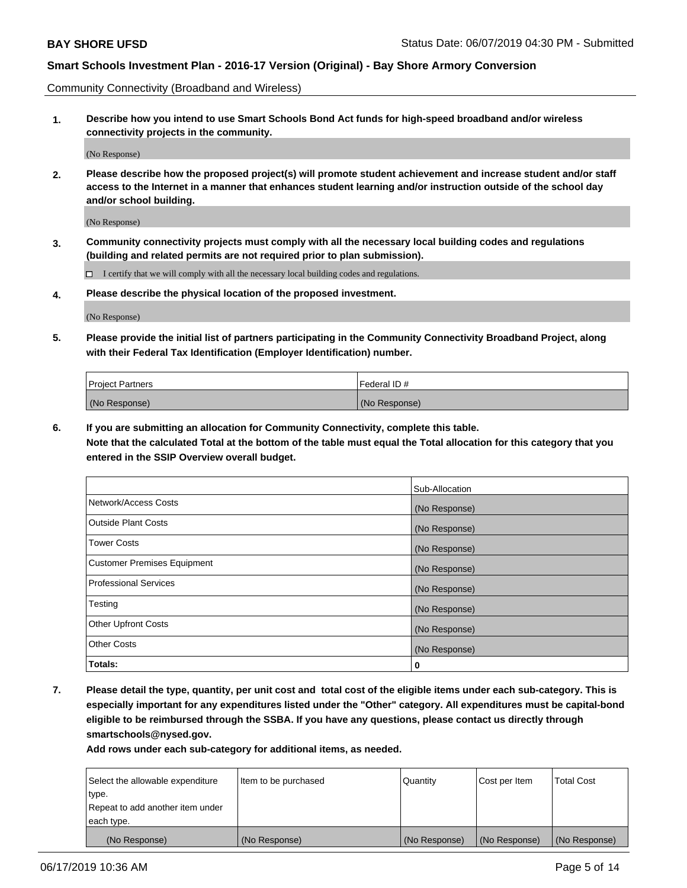Community Connectivity (Broadband and Wireless)

**1. Describe how you intend to use Smart Schools Bond Act funds for high-speed broadband and/or wireless connectivity projects in the community.**

(No Response)

**2. Please describe how the proposed project(s) will promote student achievement and increase student and/or staff access to the Internet in a manner that enhances student learning and/or instruction outside of the school day and/or school building.**

(No Response)

**3. Community connectivity projects must comply with all the necessary local building codes and regulations (building and related permits are not required prior to plan submission).**

 $\Box$  I certify that we will comply with all the necessary local building codes and regulations.

**4. Please describe the physical location of the proposed investment.**

(No Response)

**5. Please provide the initial list of partners participating in the Community Connectivity Broadband Project, along with their Federal Tax Identification (Employer Identification) number.**

| <b>Project Partners</b> | l Federal ID # |
|-------------------------|----------------|
| (No Response)           | (No Response)  |

**6. If you are submitting an allocation for Community Connectivity, complete this table.**

**Note that the calculated Total at the bottom of the table must equal the Total allocation for this category that you entered in the SSIP Overview overall budget.**

|                                    | Sub-Allocation |
|------------------------------------|----------------|
| Network/Access Costs               | (No Response)  |
| <b>Outside Plant Costs</b>         | (No Response)  |
| <b>Tower Costs</b>                 | (No Response)  |
| <b>Customer Premises Equipment</b> | (No Response)  |
| <b>Professional Services</b>       | (No Response)  |
| Testing                            | (No Response)  |
| <b>Other Upfront Costs</b>         | (No Response)  |
| <b>Other Costs</b>                 | (No Response)  |
| Totals:                            | 0              |

**7. Please detail the type, quantity, per unit cost and total cost of the eligible items under each sub-category. This is especially important for any expenditures listed under the "Other" category. All expenditures must be capital-bond eligible to be reimbursed through the SSBA. If you have any questions, please contact us directly through smartschools@nysed.gov.**

| Select the allowable expenditure | Item to be purchased | Quantity      | Cost per Item | <b>Total Cost</b> |
|----------------------------------|----------------------|---------------|---------------|-------------------|
| type.                            |                      |               |               |                   |
| Repeat to add another item under |                      |               |               |                   |
| each type.                       |                      |               |               |                   |
| (No Response)                    | (No Response)        | (No Response) | (No Response) | (No Response)     |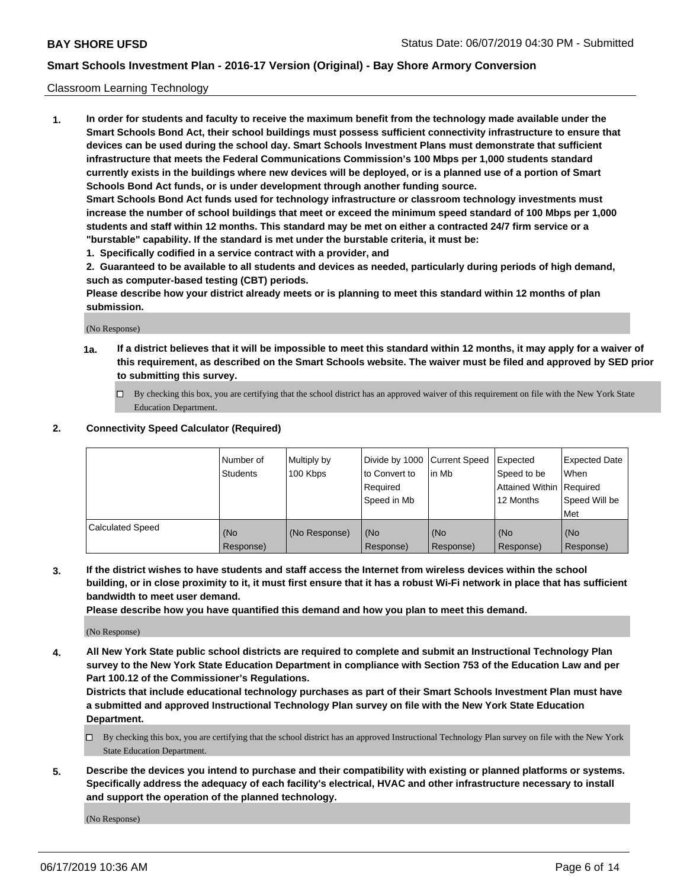## Classroom Learning Technology

**1. In order for students and faculty to receive the maximum benefit from the technology made available under the Smart Schools Bond Act, their school buildings must possess sufficient connectivity infrastructure to ensure that devices can be used during the school day. Smart Schools Investment Plans must demonstrate that sufficient infrastructure that meets the Federal Communications Commission's 100 Mbps per 1,000 students standard currently exists in the buildings where new devices will be deployed, or is a planned use of a portion of Smart Schools Bond Act funds, or is under development through another funding source. Smart Schools Bond Act funds used for technology infrastructure or classroom technology investments must increase the number of school buildings that meet or exceed the minimum speed standard of 100 Mbps per 1,000 students and staff within 12 months. This standard may be met on either a contracted 24/7 firm service or a**

- **"burstable" capability. If the standard is met under the burstable criteria, it must be:**
- **1. Specifically codified in a service contract with a provider, and**

**2. Guaranteed to be available to all students and devices as needed, particularly during periods of high demand, such as computer-based testing (CBT) periods.**

**Please describe how your district already meets or is planning to meet this standard within 12 months of plan submission.**

(No Response)

- **1a. If a district believes that it will be impossible to meet this standard within 12 months, it may apply for a waiver of this requirement, as described on the Smart Schools website. The waiver must be filed and approved by SED prior to submitting this survey.**
	- By checking this box, you are certifying that the school district has an approved waiver of this requirement on file with the New York State Education Department.

## **2. Connectivity Speed Calculator (Required)**

|                         | I Number of<br>Students | Multiply by<br>100 Kbps | to Convert to<br>Required<br>Speed in Mb | Divide by 1000 Current Speed Expected<br>lin Mb | Speed to be<br>Attained Within Required<br>12 Months | <b>Expected Date</b><br>When<br>Speed Will be<br>Met |
|-------------------------|-------------------------|-------------------------|------------------------------------------|-------------------------------------------------|------------------------------------------------------|------------------------------------------------------|
| <b>Calculated Speed</b> | (No<br>Response)        | (No Response)           | (No<br>Response)                         | (No<br>Response)                                | (No<br>Response)                                     | (No<br>Response)                                     |

**3. If the district wishes to have students and staff access the Internet from wireless devices within the school building, or in close proximity to it, it must first ensure that it has a robust Wi-Fi network in place that has sufficient bandwidth to meet user demand.**

**Please describe how you have quantified this demand and how you plan to meet this demand.**

(No Response)

**4. All New York State public school districts are required to complete and submit an Instructional Technology Plan survey to the New York State Education Department in compliance with Section 753 of the Education Law and per Part 100.12 of the Commissioner's Regulations.**

**Districts that include educational technology purchases as part of their Smart Schools Investment Plan must have a submitted and approved Instructional Technology Plan survey on file with the New York State Education Department.**

- $\Box$  By checking this box, you are certifying that the school district has an approved Instructional Technology Plan survey on file with the New York State Education Department.
- **5. Describe the devices you intend to purchase and their compatibility with existing or planned platforms or systems. Specifically address the adequacy of each facility's electrical, HVAC and other infrastructure necessary to install and support the operation of the planned technology.**

(No Response)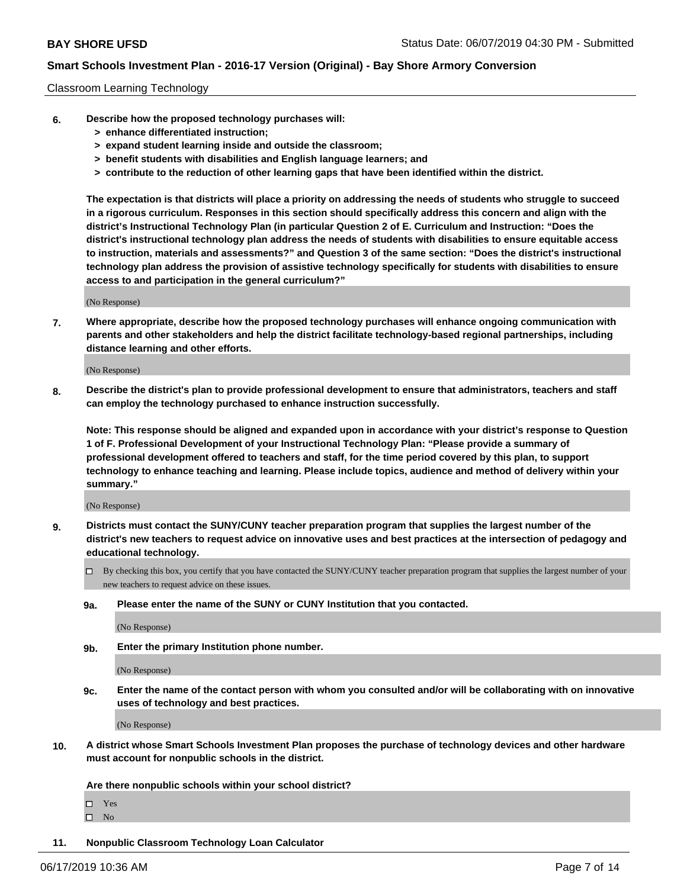## Classroom Learning Technology

- **6. Describe how the proposed technology purchases will:**
	- **> enhance differentiated instruction;**
	- **> expand student learning inside and outside the classroom;**
	- **> benefit students with disabilities and English language learners; and**
	- **> contribute to the reduction of other learning gaps that have been identified within the district.**

**The expectation is that districts will place a priority on addressing the needs of students who struggle to succeed in a rigorous curriculum. Responses in this section should specifically address this concern and align with the district's Instructional Technology Plan (in particular Question 2 of E. Curriculum and Instruction: "Does the district's instructional technology plan address the needs of students with disabilities to ensure equitable access to instruction, materials and assessments?" and Question 3 of the same section: "Does the district's instructional technology plan address the provision of assistive technology specifically for students with disabilities to ensure access to and participation in the general curriculum?"**

(No Response)

**7. Where appropriate, describe how the proposed technology purchases will enhance ongoing communication with parents and other stakeholders and help the district facilitate technology-based regional partnerships, including distance learning and other efforts.**

(No Response)

**8. Describe the district's plan to provide professional development to ensure that administrators, teachers and staff can employ the technology purchased to enhance instruction successfully.**

**Note: This response should be aligned and expanded upon in accordance with your district's response to Question 1 of F. Professional Development of your Instructional Technology Plan: "Please provide a summary of professional development offered to teachers and staff, for the time period covered by this plan, to support technology to enhance teaching and learning. Please include topics, audience and method of delivery within your summary."**

(No Response)

- **9. Districts must contact the SUNY/CUNY teacher preparation program that supplies the largest number of the district's new teachers to request advice on innovative uses and best practices at the intersection of pedagogy and educational technology.**
	- By checking this box, you certify that you have contacted the SUNY/CUNY teacher preparation program that supplies the largest number of your new teachers to request advice on these issues.
	- **9a. Please enter the name of the SUNY or CUNY Institution that you contacted.**

(No Response)

**9b. Enter the primary Institution phone number.**

(No Response)

**9c. Enter the name of the contact person with whom you consulted and/or will be collaborating with on innovative uses of technology and best practices.**

(No Response)

**10. A district whose Smart Schools Investment Plan proposes the purchase of technology devices and other hardware must account for nonpublic schools in the district.**

**Are there nonpublic schools within your school district?**

Yes

 $\square$  No

**11. Nonpublic Classroom Technology Loan Calculator**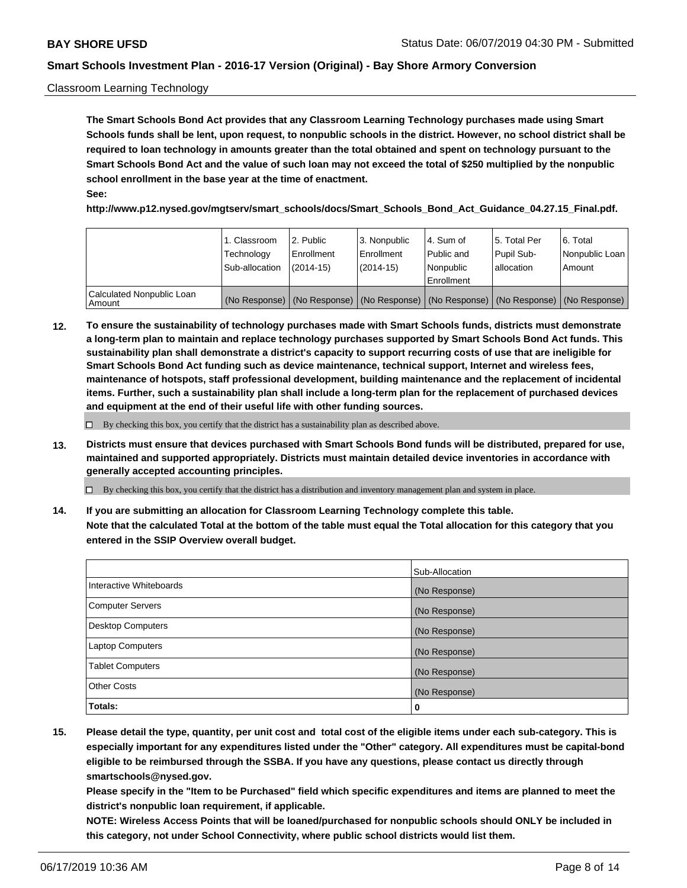## Classroom Learning Technology

**The Smart Schools Bond Act provides that any Classroom Learning Technology purchases made using Smart Schools funds shall be lent, upon request, to nonpublic schools in the district. However, no school district shall be required to loan technology in amounts greater than the total obtained and spent on technology pursuant to the Smart Schools Bond Act and the value of such loan may not exceed the total of \$250 multiplied by the nonpublic school enrollment in the base year at the time of enactment. See:**

**http://www.p12.nysed.gov/mgtserv/smart\_schools/docs/Smart\_Schools\_Bond\_Act\_Guidance\_04.27.15\_Final.pdf.**

|                                       | 1. Classroom<br>Technology<br>Sub-allocation | 2. Public<br>l Enrollment<br>(2014-15) | l 3. Nonpublic<br>l Enrollment<br>$(2014 - 15)$ | l 4. Sum of<br>l Public and<br>l Nonpublic<br>Enrollment                                      | 15. Total Per<br>Pupil Sub-<br>l allocation | l 6. Total<br>Nonpublic Loan<br>Amount |
|---------------------------------------|----------------------------------------------|----------------------------------------|-------------------------------------------------|-----------------------------------------------------------------------------------------------|---------------------------------------------|----------------------------------------|
| Calculated Nonpublic Loan<br>l Amount |                                              |                                        |                                                 | (No Response)   (No Response)   (No Response)   (No Response)   (No Response)   (No Response) |                                             |                                        |

**12. To ensure the sustainability of technology purchases made with Smart Schools funds, districts must demonstrate a long-term plan to maintain and replace technology purchases supported by Smart Schools Bond Act funds. This sustainability plan shall demonstrate a district's capacity to support recurring costs of use that are ineligible for Smart Schools Bond Act funding such as device maintenance, technical support, Internet and wireless fees, maintenance of hotspots, staff professional development, building maintenance and the replacement of incidental items. Further, such a sustainability plan shall include a long-term plan for the replacement of purchased devices and equipment at the end of their useful life with other funding sources.**

 $\Box$  By checking this box, you certify that the district has a sustainability plan as described above.

**13. Districts must ensure that devices purchased with Smart Schools Bond funds will be distributed, prepared for use, maintained and supported appropriately. Districts must maintain detailed device inventories in accordance with generally accepted accounting principles.**

By checking this box, you certify that the district has a distribution and inventory management plan and system in place.

**14. If you are submitting an allocation for Classroom Learning Technology complete this table. Note that the calculated Total at the bottom of the table must equal the Total allocation for this category that you entered in the SSIP Overview overall budget.**

|                          | Sub-Allocation |
|--------------------------|----------------|
| Interactive Whiteboards  | (No Response)  |
| <b>Computer Servers</b>  | (No Response)  |
| <b>Desktop Computers</b> | (No Response)  |
| <b>Laptop Computers</b>  | (No Response)  |
| <b>Tablet Computers</b>  | (No Response)  |
| <b>Other Costs</b>       | (No Response)  |
| Totals:                  | 0              |

**15. Please detail the type, quantity, per unit cost and total cost of the eligible items under each sub-category. This is especially important for any expenditures listed under the "Other" category. All expenditures must be capital-bond eligible to be reimbursed through the SSBA. If you have any questions, please contact us directly through smartschools@nysed.gov.**

**Please specify in the "Item to be Purchased" field which specific expenditures and items are planned to meet the district's nonpublic loan requirement, if applicable.**

**NOTE: Wireless Access Points that will be loaned/purchased for nonpublic schools should ONLY be included in this category, not under School Connectivity, where public school districts would list them.**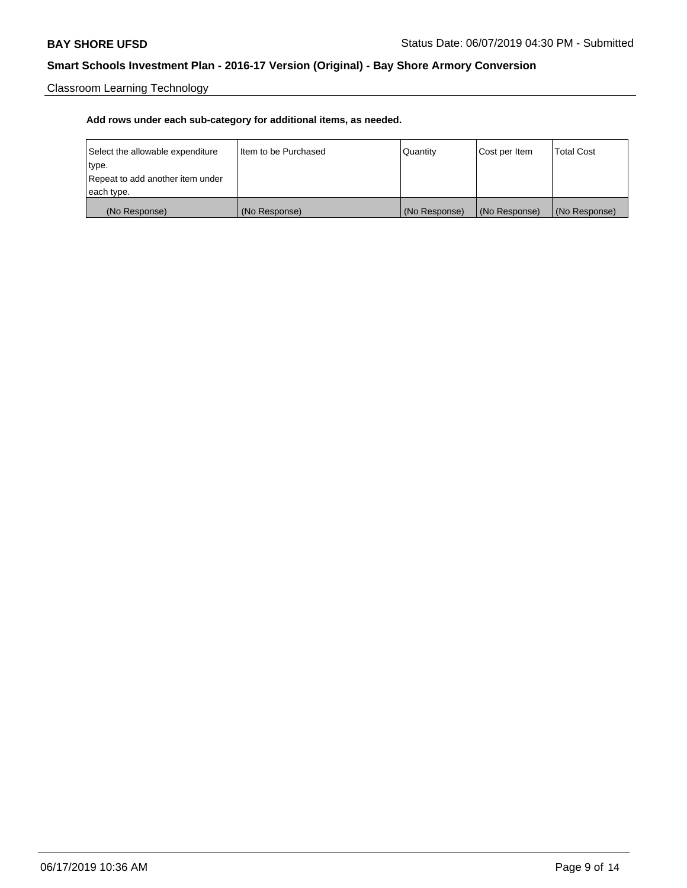Classroom Learning Technology

| Select the allowable expenditure | I Item to be Purchased | Quantity      | Cost per Item | <b>Total Cost</b> |
|----------------------------------|------------------------|---------------|---------------|-------------------|
| type.                            |                        |               |               |                   |
| Repeat to add another item under |                        |               |               |                   |
| each type.                       |                        |               |               |                   |
| (No Response)                    | (No Response)          | (No Response) | (No Response) | (No Response)     |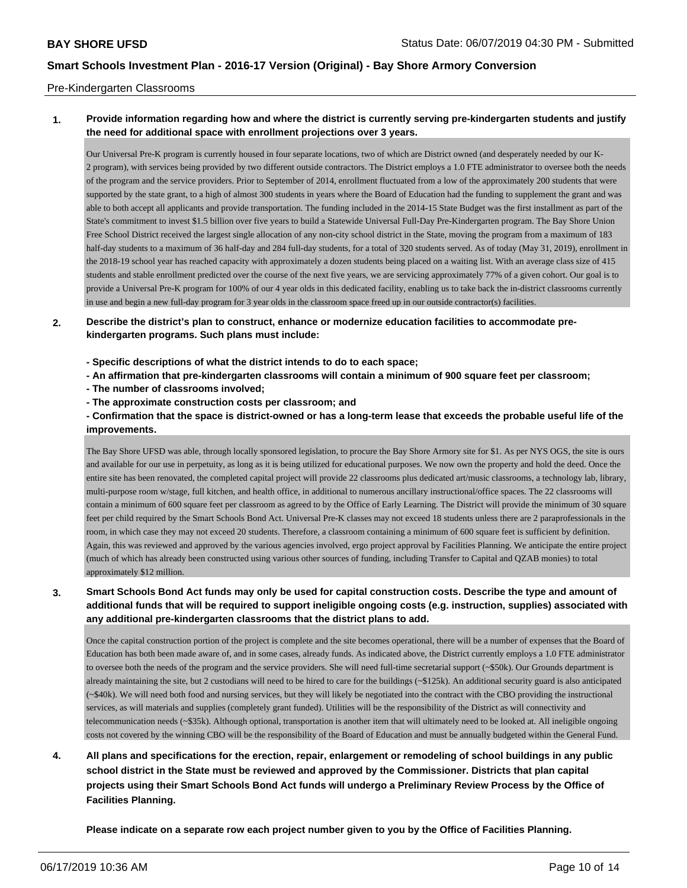## Pre-Kindergarten Classrooms

## **1. Provide information regarding how and where the district is currently serving pre-kindergarten students and justify the need for additional space with enrollment projections over 3 years.**

Our Universal Pre-K program is currently housed in four separate locations, two of which are District owned (and desperately needed by our K-2 program), with services being provided by two different outside contractors. The District employs a 1.0 FTE administrator to oversee both the needs of the program and the service providers. Prior to September of 2014, enrollment fluctuated from a low of the approximately 200 students that were supported by the state grant, to a high of almost 300 students in years where the Board of Education had the funding to supplement the grant and was able to both accept all applicants and provide transportation. The funding included in the 2014-15 State Budget was the first installment as part of the State's commitment to invest \$1.5 billion over five years to build a Statewide Universal Full-Day Pre-Kindergarten program. The Bay Shore Union Free School District received the largest single allocation of any non-city school district in the State, moving the program from a maximum of 183 half-day students to a maximum of 36 half-day and 284 full-day students, for a total of 320 students served. As of today (May 31, 2019), enrollment in the 2018-19 school year has reached capacity with approximately a dozen students being placed on a waiting list. With an average class size of 415 students and stable enrollment predicted over the course of the next five years, we are servicing approximately 77% of a given cohort. Our goal is to provide a Universal Pre-K program for 100% of our 4 year olds in this dedicated facility, enabling us to take back the in-district classrooms currently in use and begin a new full-day program for 3 year olds in the classroom space freed up in our outside contractor(s) facilities.

## **2. Describe the district's plan to construct, enhance or modernize education facilities to accommodate prekindergarten programs. Such plans must include:**

- **Specific descriptions of what the district intends to do to each space;**
- **An affirmation that pre-kindergarten classrooms will contain a minimum of 900 square feet per classroom;**
- **The number of classrooms involved;**
- **The approximate construction costs per classroom; and**

**- Confirmation that the space is district-owned or has a long-term lease that exceeds the probable useful life of the improvements.**

The Bay Shore UFSD was able, through locally sponsored legislation, to procure the Bay Shore Armory site for \$1. As per NYS OGS, the site is ours and available for our use in perpetuity, as long as it is being utilized for educational purposes. We now own the property and hold the deed. Once the entire site has been renovated, the completed capital project will provide 22 classrooms plus dedicated art/music classrooms, a technology lab, library, multi-purpose room w/stage, full kitchen, and health office, in additional to numerous ancillary instructional/office spaces. The 22 classrooms will contain a minimum of 600 square feet per classroom as agreed to by the Office of Early Learning. The District will provide the minimum of 30 square feet per child required by the Smart Schools Bond Act. Universal Pre-K classes may not exceed 18 students unless there are 2 paraprofessionals in the room, in which case they may not exceed 20 students. Therefore, a classroom containing a minimum of 600 square feet is sufficient by definition. Again, this was reviewed and approved by the various agencies involved, ergo project approval by Facilities Planning. We anticipate the entire project (much of which has already been constructed using various other sources of funding, including Transfer to Capital and QZAB monies) to total approximately \$12 million.

## **3. Smart Schools Bond Act funds may only be used for capital construction costs. Describe the type and amount of additional funds that will be required to support ineligible ongoing costs (e.g. instruction, supplies) associated with any additional pre-kindergarten classrooms that the district plans to add.**

Once the capital construction portion of the project is complete and the site becomes operational, there will be a number of expenses that the Board of Education has both been made aware of, and in some cases, already funds. As indicated above, the District currently employs a 1.0 FTE administrator to oversee both the needs of the program and the service providers. She will need full-time secretarial support (~\$50k). Our Grounds department is already maintaining the site, but 2 custodians will need to be hired to care for the buildings (~\$125k). An additional security guard is also anticipated (~\$40k). We will need both food and nursing services, but they will likely be negotiated into the contract with the CBO providing the instructional services, as will materials and supplies (completely grant funded). Utilities will be the responsibility of the District as will connectivity and telecommunication needs (~\$35k). Although optional, transportation is another item that will ultimately need to be looked at. All ineligible ongoing costs not covered by the winning CBO will be the responsibility of the Board of Education and must be annually budgeted within the General Fund.

**4. All plans and specifications for the erection, repair, enlargement or remodeling of school buildings in any public school district in the State must be reviewed and approved by the Commissioner. Districts that plan capital projects using their Smart Schools Bond Act funds will undergo a Preliminary Review Process by the Office of Facilities Planning.**

**Please indicate on a separate row each project number given to you by the Office of Facilities Planning.**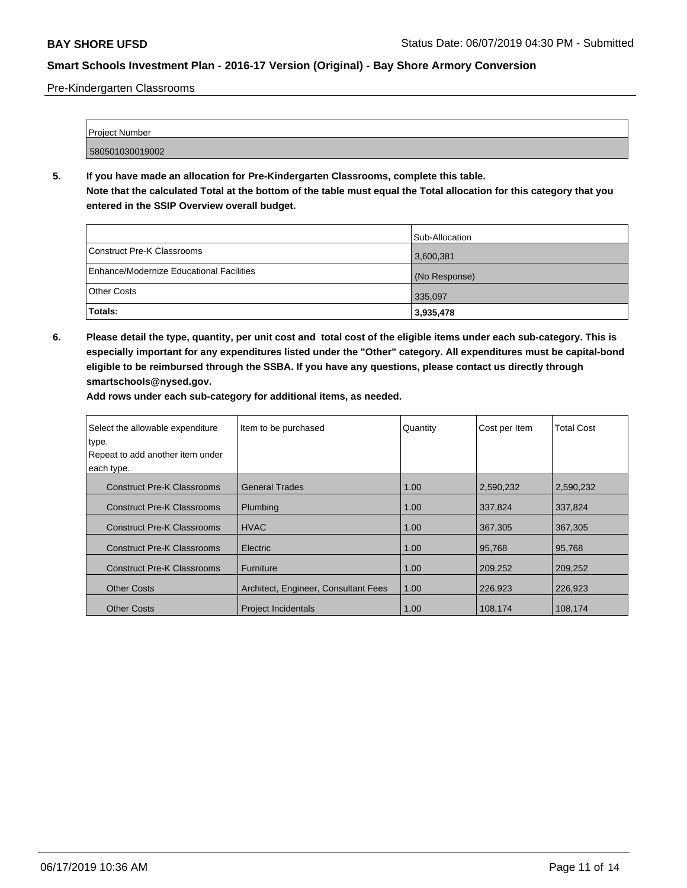Pre-Kindergarten Classrooms

| <b>Project Number</b> |  |
|-----------------------|--|
|                       |  |
| 580501030019002       |  |

**5. If you have made an allocation for Pre-Kindergarten Classrooms, complete this table. Note that the calculated Total at the bottom of the table must equal the Total allocation for this category that you entered in the SSIP Overview overall budget.**

|                                          | Sub-Allocation |
|------------------------------------------|----------------|
| Construct Pre-K Classrooms               | 3,600,381      |
| Enhance/Modernize Educational Facilities | (No Response)  |
| Other Costs                              | 335,097        |
| Totals:                                  | 3,935,478      |

**6. Please detail the type, quantity, per unit cost and total cost of the eligible items under each sub-category. This is especially important for any expenditures listed under the "Other" category. All expenditures must be capital-bond eligible to be reimbursed through the SSBA. If you have any questions, please contact us directly through smartschools@nysed.gov.**

| Select the allowable expenditure  | Item to be purchased                 | Quantity | Cost per Item | <b>Total Cost</b> |
|-----------------------------------|--------------------------------------|----------|---------------|-------------------|
| type.                             |                                      |          |               |                   |
| Repeat to add another item under  |                                      |          |               |                   |
| each type.                        |                                      |          |               |                   |
| <b>Construct Pre-K Classrooms</b> | <b>General Trades</b>                | 1.00     | 2,590,232     | 2,590,232         |
| <b>Construct Pre-K Classrooms</b> | Plumbing                             | 1.00     | 337,824       | 337,824           |
| <b>Construct Pre-K Classrooms</b> | <b>HVAC</b>                          | 1.00     | 367,305       | 367,305           |
| <b>Construct Pre-K Classrooms</b> | Electric                             | 1.00     | 95,768        | 95.768            |
| <b>Construct Pre-K Classrooms</b> | Furniture                            | 1.00     | 209,252       | 209,252           |
| <b>Other Costs</b>                | Architect, Engineer, Consultant Fees | 1.00     | 226,923       | 226,923           |
| <b>Other Costs</b>                | <b>Project Incidentals</b>           | 1.00     | 108,174       | 108,174           |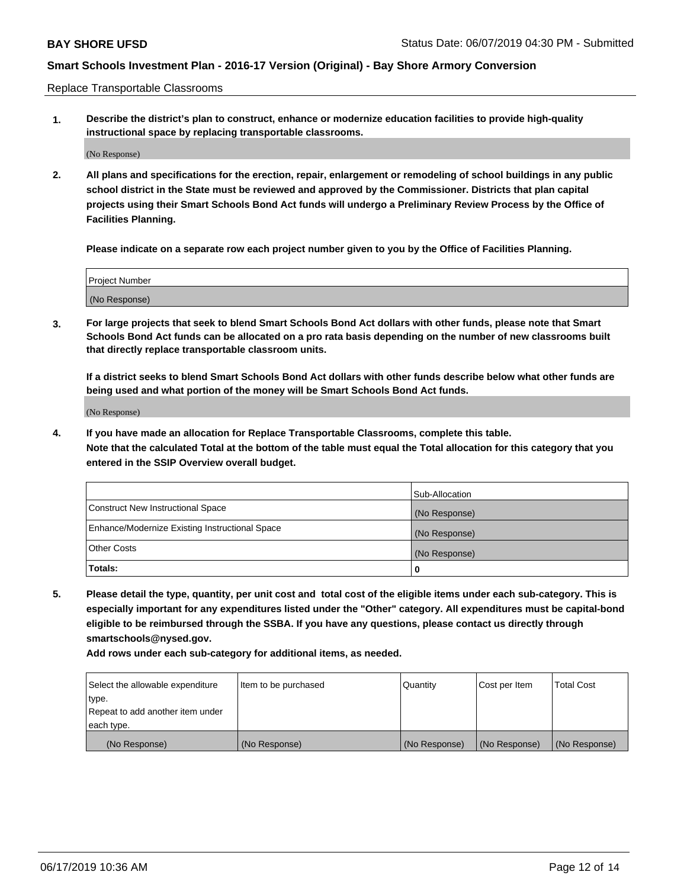Replace Transportable Classrooms

**1. Describe the district's plan to construct, enhance or modernize education facilities to provide high-quality instructional space by replacing transportable classrooms.**

(No Response)

**2. All plans and specifications for the erection, repair, enlargement or remodeling of school buildings in any public school district in the State must be reviewed and approved by the Commissioner. Districts that plan capital projects using their Smart Schools Bond Act funds will undergo a Preliminary Review Process by the Office of Facilities Planning.**

**Please indicate on a separate row each project number given to you by the Office of Facilities Planning.**

| Project Number |  |
|----------------|--|
|                |  |
|                |  |
|                |  |
|                |  |
| (No Response)  |  |
|                |  |
|                |  |
|                |  |

**3. For large projects that seek to blend Smart Schools Bond Act dollars with other funds, please note that Smart Schools Bond Act funds can be allocated on a pro rata basis depending on the number of new classrooms built that directly replace transportable classroom units.**

**If a district seeks to blend Smart Schools Bond Act dollars with other funds describe below what other funds are being used and what portion of the money will be Smart Schools Bond Act funds.**

(No Response)

**4. If you have made an allocation for Replace Transportable Classrooms, complete this table. Note that the calculated Total at the bottom of the table must equal the Total allocation for this category that you entered in the SSIP Overview overall budget.**

|                                                | Sub-Allocation |
|------------------------------------------------|----------------|
| Construct New Instructional Space              | (No Response)  |
| Enhance/Modernize Existing Instructional Space | (No Response)  |
| <b>Other Costs</b>                             | (No Response)  |
| Totals:                                        | 0              |

**5. Please detail the type, quantity, per unit cost and total cost of the eligible items under each sub-category. This is especially important for any expenditures listed under the "Other" category. All expenditures must be capital-bond eligible to be reimbursed through the SSBA. If you have any questions, please contact us directly through smartschools@nysed.gov.**

| Select the allowable expenditure | Item to be purchased | l Quantitv    | Cost per Item | <b>Total Cost</b> |
|----------------------------------|----------------------|---------------|---------------|-------------------|
| type.                            |                      |               |               |                   |
| Repeat to add another item under |                      |               |               |                   |
| each type.                       |                      |               |               |                   |
| (No Response)                    | (No Response)        | (No Response) | (No Response) | (No Response)     |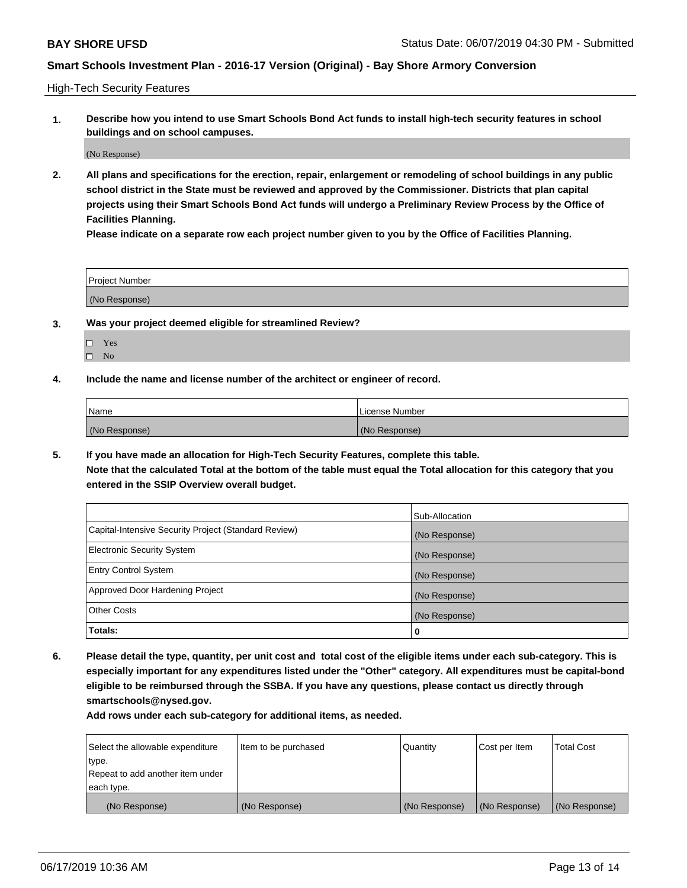High-Tech Security Features

**1. Describe how you intend to use Smart Schools Bond Act funds to install high-tech security features in school buildings and on school campuses.**

(No Response)

**2. All plans and specifications for the erection, repair, enlargement or remodeling of school buildings in any public school district in the State must be reviewed and approved by the Commissioner. Districts that plan capital projects using their Smart Schools Bond Act funds will undergo a Preliminary Review Process by the Office of Facilities Planning.** 

**Please indicate on a separate row each project number given to you by the Office of Facilities Planning.**

| <b>Project Number</b> |  |
|-----------------------|--|
| (No Response)         |  |

- **3. Was your project deemed eligible for streamlined Review?**
	- Yes
	- $\square$  No
- **4. Include the name and license number of the architect or engineer of record.**

| <b>Name</b>   | License Number |
|---------------|----------------|
| (No Response) | (No Response)  |

**5. If you have made an allocation for High-Tech Security Features, complete this table.**

**Note that the calculated Total at the bottom of the table must equal the Total allocation for this category that you entered in the SSIP Overview overall budget.**

|                                                      | Sub-Allocation |
|------------------------------------------------------|----------------|
| Capital-Intensive Security Project (Standard Review) | (No Response)  |
| <b>Electronic Security System</b>                    | (No Response)  |
| <b>Entry Control System</b>                          | (No Response)  |
| Approved Door Hardening Project                      | (No Response)  |
| <b>Other Costs</b>                                   | (No Response)  |
| Totals:                                              | 0              |

**6. Please detail the type, quantity, per unit cost and total cost of the eligible items under each sub-category. This is especially important for any expenditures listed under the "Other" category. All expenditures must be capital-bond eligible to be reimbursed through the SSBA. If you have any questions, please contact us directly through smartschools@nysed.gov.**

| Select the allowable expenditure | Item to be purchased | Quantity      | Cost per Item | <b>Total Cost</b> |
|----------------------------------|----------------------|---------------|---------------|-------------------|
| type.                            |                      |               |               |                   |
| Repeat to add another item under |                      |               |               |                   |
| each type.                       |                      |               |               |                   |
| (No Response)                    | (No Response)        | (No Response) | (No Response) | (No Response)     |